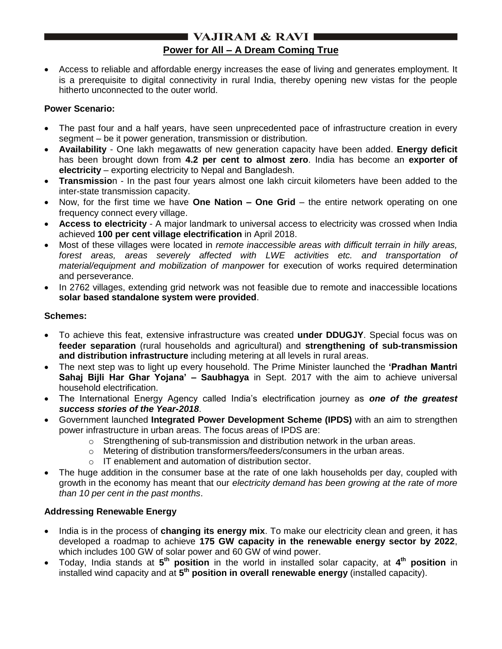## **I VAJIRAM & RAVI I Power for All – A Dream Coming True**

 Access to reliable and affordable energy increases the ease of living and generates employment. It is a prerequisite to digital connectivity in rural India, thereby opening new vistas for the people hitherto unconnected to the outer world.

### **Power Scenario:**

- The past four and a half years, have seen unprecedented pace of infrastructure creation in every segment – be it power generation, transmission or distribution.
- **Availability** One lakh megawatts of new generation capacity have been added. **Energy deficit** has been brought down from **4.2 per cent to almost zero**. India has become an **exporter of electricity** – exporting electricity to Nepal and Bangladesh.
- **Transmissio**n In the past four years almost one lakh circuit kilometers have been added to the inter-state transmission capacity.
- Now, for the first time we have **One Nation – One Grid** the entire network operating on one frequency connect every village.
- **Access to electricity** A major landmark to universal access to electricity was crossed when India achieved **100 per cent village electrification** in April 2018.
- Most of these villages were located in *remote inaccessible areas with difficult terrain in hilly areas,*  forest areas, areas severely affected with LWE activities etc. and transportation of *material/equipment and mobilization of manpowe*r for execution of works required determination and perseverance.
- In 2762 villages, extending grid network was not feasible due to remote and inaccessible locations **solar based standalone system were provided**.

### **Schemes:**

- To achieve this feat, extensive infrastructure was created **under DDUGJY**. Special focus was on **feeder separation** (rural households and agricultural) and **strengthening of sub-transmission and distribution infrastructure** including metering at all levels in rural areas.
- The next step was to light up every household. The Prime Minister launched the **"Pradhan Mantri Sahaj Bijli Har Ghar Yojana" – Saubhagya** in Sept. 2017 with the aim to achieve universal household electrification.
- The International Energy Agency called India"s electrification journey as *one of the greatest success stories of the Year-2018*.
- Government launched **Integrated Power Development Scheme (IPDS)** with an aim to strengthen power infrastructure in urban areas. The focus areas of IPDS are:
	- $\circ$  Strengthening of sub-transmission and distribution network in the urban areas.
	- o Metering of distribution transformers/feeders/consumers in the urban areas.
	- o IT enablement and automation of distribution sector.
- The huge addition in the consumer base at the rate of one lakh households per day, coupled with growth in the economy has meant that our *electricity demand has been growing at the rate of more than 10 per cent in the past months*.

### **Addressing Renewable Energy**

- India is in the process of **changing its energy mix**. To make our electricity clean and green, it has developed a roadmap to achieve **175 GW capacity in the renewable energy sector by 2022**, which includes 100 GW of solar power and 60 GW of wind power.
- Today, India stands at **5 th position** in the world in installed solar capacity, at **4 th position** in installed wind capacity and at **5 th position in overall renewable energy** (installed capacity).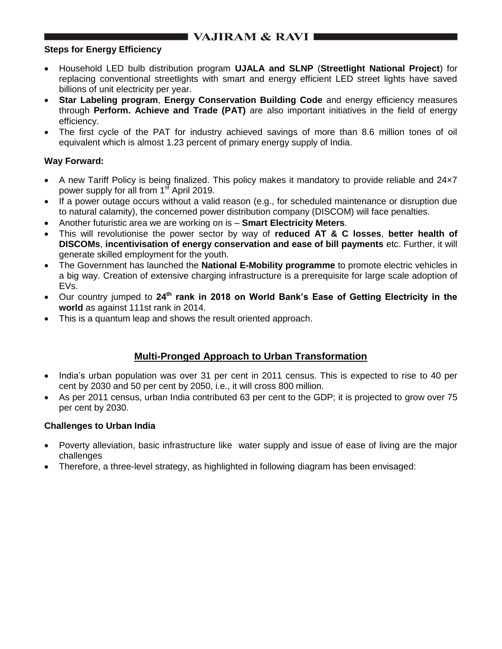# **NAJIRAM & RAVI I**

#### **Steps for Energy Efficiency**

- Household LED bulb distribution program **UJALA and SLNP** (**Streetlight National Project**) for replacing conventional streetlights with smart and energy efficient LED street lights have saved billions of unit electricity per year.
- **Star Labeling program**, **Energy Conservation Building Code** and energy efficiency measures through **Perform. Achieve and Trade (PAT)** are also important initiatives in the field of energy efficiency.
- The first cycle of the PAT for industry achieved savings of more than 8.6 million tones of oil equivalent which is almost 1.23 percent of primary energy supply of India.

### **Way Forward:**

- A new Tariff Policy is being finalized. This policy makes it mandatory to provide reliable and 24×7 power supply for all from  $1<sup>st</sup>$  April 2019.
- If a power outage occurs without a valid reason (e.g., for scheduled maintenance or disruption due to natural calamity), the concerned power distribution company (DISCOM) will face penalties.
- Another futuristic area we are working on is **Smart Electricity Meters**.
- This will revolutionise the power sector by way of **reduced AT & C losses**, **better health of DISCOMs**, **incentivisation of energy conservation and ease of bill payments** etc. Further, it will generate skilled employment for the youth.
- The Government has launched the **National E-Mobility programme** to promote electric vehicles in a big way. Creation of extensive charging infrastructure is a prerequisite for large scale adoption of EVs.
- Our country jumped to **24th rank in 2018 on World Bank"s Ease of Getting Electricity in the world** as against 111st rank in 2014.
- This is a quantum leap and shows the result oriented approach.

## **Multi-Pronged Approach to Urban Transformation**

- India"s urban population was over 31 per cent in 2011 census. This is expected to rise to 40 per cent by 2030 and 50 per cent by 2050, i.e., it will cross 800 million.
- As per 2011 census, urban India contributed 63 per cent to the GDP; it is projected to grow over 75 per cent by 2030.

### **Challenges to Urban India**

- Poverty alleviation, basic infrastructure like water supply and issue of ease of living are the major challenges
- Therefore, a three-level strategy, as highlighted in following diagram has been envisaged: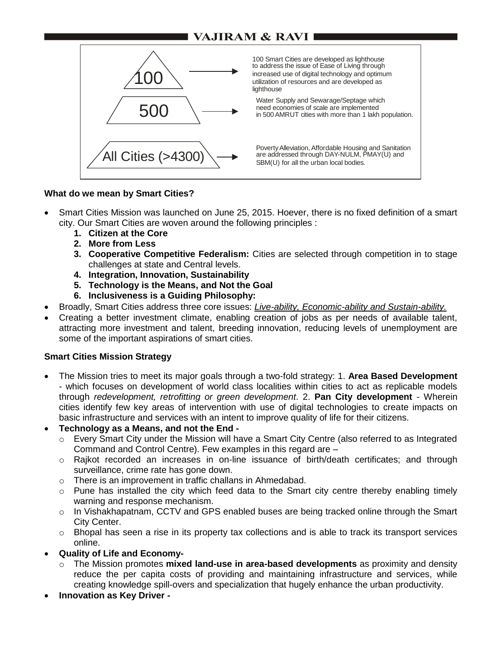# **VAJIRAM & RAVI**



#### **What do we mean by Smart Cities?**

- Smart Cities Mission was launched on June 25, 2015. Hoever, there is no fixed definition of a smart city. Our Smart Cities are woven around the following principles :
	- **1. Citizen at the Core**
	- **2. More from Less**
	- **3. Cooperative Competitive Federalism:** Cities are selected through competition in to stage challenges at state and Central levels.
	- **4. Integration, Innovation, Sustainability**
	- **5. Technology is the Means, and Not the Goal**
	- **6. Inclusiveness is a Guiding Philosophy:**
- Broadly, Smart Cities address three core issues: *Live-ability, Economic-ability and Sustain-ability.*
- Creating a better investment climate, enabling creation of jobs as per needs of available talent, attracting more investment and talent, breeding innovation, reducing levels of unemployment are some of the important aspirations of smart cities.

#### **Smart Cities Mission Strategy**

- The Mission tries to meet its major goals through a two-fold strategy: 1. **Area Based Development** - which focuses on development of world class localities within cities to act as replicable models through *redevelopment, retrofitting or green development*. 2. **Pan City development** - Wherein cities identify few key areas of intervention with use of digital technologies to create impacts on basic infrastructure and services with an intent to improve quality of life for their citizens.
- **Technology as a Means, and not the End** 
	- o Every Smart City under the Mission will have a Smart City Centre (also referred to as Integrated Command and Control Centre). Few examples in this regard are –
	- o Rajkot recorded an increases in on-line issuance of birth/death certificates; and through surveillance, crime rate has gone down.
	- o There is an improvement in traffic challans in Ahmedabad.
	- $\circ$  Pune has installed the city which feed data to the Smart city centre thereby enabling timely warning and response mechanism.
	- o In Vishakhapatnam, CCTV and GPS enabled buses are being tracked online through the Smart City Center.
	- $\circ$  Bhopal has seen a rise in its property tax collections and is able to track its transport services online.
- **Quality of Life and Economy**
	- o The Mission promotes **mixed land-use in area-based developments** as proximity and density reduce the per capita costs of providing and maintaining infrastructure and services, while creating knowledge spill-overs and specialization that hugely enhance the urban productivity.
- **Innovation as Key Driver -**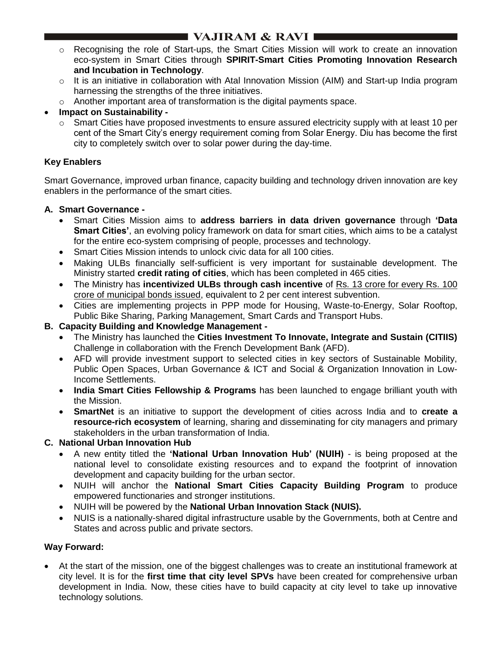# ■ VAJIRAM & RAVI I

- o Recognising the role of Start-ups, the Smart Cities Mission will work to create an innovation eco-system in Smart Cities through **SPIRIT-Smart Cities Promoting Innovation Research and Incubation in Technology**.
- o It is an initiative in collaboration with Atal Innovation Mission (AIM) and Start-up India program harnessing the strengths of the three initiatives.
- o Another important area of transformation is the digital payments space.
- **Impact on Sustainability -**
	- $\circ$  Smart Cities have proposed investments to ensure assured electricity supply with at least 10 per cent of the Smart City"s energy requirement coming from Solar Energy. Diu has become the first city to completely switch over to solar power during the day-time.

## **Key Enablers**

Smart Governance, improved urban finance, capacity building and technology driven innovation are key enablers in the performance of the smart cities.

### **A. Smart Governance -**

- Smart Cities Mission aims to **address barriers in data driven governance** through **"Data Smart Cities"**, an evolving policy framework on data for smart cities, which aims to be a catalyst for the entire eco-system comprising of people, processes and technology.
- Smart Cities Mission intends to unlock civic data for all 100 cities.
- Making ULBs financially self-sufficient is very important for sustainable development. The Ministry started **credit rating of cities**, which has been completed in 465 cities.
- The Ministry has **incentivized ULBs through cash incentive** of Rs. 13 crore for every Rs. 100 crore of municipal bonds issued, equivalent to 2 per cent interest subvention.
- Cities are implementing projects in PPP mode for Housing, Waste-to-Energy, Solar Rooftop, Public Bike Sharing, Parking Management, Smart Cards and Transport Hubs.

### **B. Capacity Building and Knowledge Management -**

- The Ministry has launched the **Cities Investment To Innovate, Integrate and Sustain (CITIIS)** Challenge in collaboration with the French Development Bank (AFD).
- AFD will provide investment support to selected cities in key sectors of Sustainable Mobility, Public Open Spaces, Urban Governance & ICT and Social & Organization Innovation in Low-Income Settlements.
- **India Smart Cities Fellowship & Programs** has been launched to engage brilliant youth with the Mission.
- **SmartNet** is an initiative to support the development of cities across India and to **create a resource-rich ecosystem** of learning, sharing and disseminating for city managers and primary stakeholders in the urban transformation of India.

## **C. National Urban Innovation Hub**

- A new entity titled the **"National Urban Innovation Hub" (NUIH)** is being proposed at the national level to consolidate existing resources and to expand the footprint of innovation development and capacity building for the urban sector.
- NUIH will anchor the **National Smart Cities Capacity Building Program** to produce empowered functionaries and stronger institutions.
- NUIH will be powered by the **National Urban Innovation Stack (NUIS).**
- NUIS is a nationally-shared digital infrastructure usable by the Governments, both at Centre and States and across public and private sectors.

### **Way Forward:**

 At the start of the mission, one of the biggest challenges was to create an institutional framework at city level. It is for the **first time that city level SPVs** have been created for comprehensive urban development in India. Now, these cities have to build capacity at city level to take up innovative technology solutions.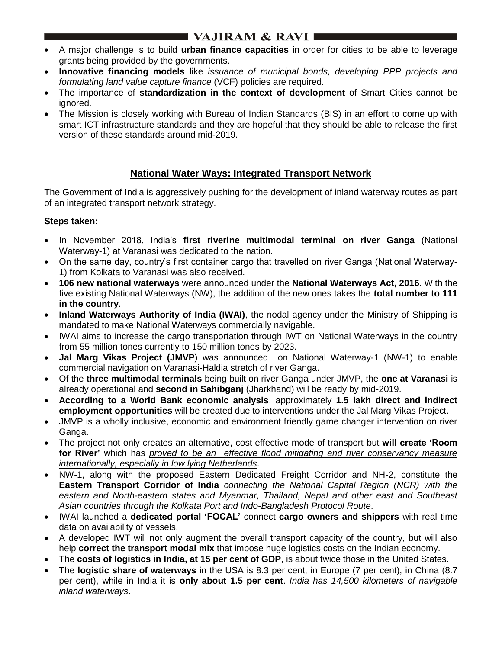# $\blacksquare$  VAJIRAM & RAVI $\blacksquare$

- A major challenge is to build **urban finance capacities** in order for cities to be able to leverage grants being provided by the governments.
- **Innovative financing models** like *issuance of municipal bonds, developing PPP projects and formulating land value capture finance* (VCF) policies are required.
- The importance of **standardization in the context of development** of Smart Cities cannot be ignored.
- The Mission is closely working with Bureau of Indian Standards (BIS) in an effort to come up with smart ICT infrastructure standards and they are hopeful that they should be able to release the first version of these standards around mid-2019.

# **National Water Ways: Integrated Transport Network**

The Government of India is aggressively pushing for the development of inland waterway routes as part of an integrated transport network strategy.

## **Steps taken:**

- In November 2018, India"s **first riverine multimodal terminal on river Ganga** (National Waterway-1) at Varanasi was dedicated to the nation.
- On the same day, country"s first container cargo that travelled on river Ganga (National Waterway-1) from Kolkata to Varanasi was also received.
- **106 new national waterways** were announced under the **National Waterways Act, 2016**. With the five existing National Waterways (NW), the addition of the new ones takes the **total number to 111 in the country**.
- **Inland Waterways Authority of India (IWAI)**, the nodal agency under the Ministry of Shipping is mandated to make National Waterways commercially navigable.
- IWAI aims to increase the cargo transportation through IWT on National Waterways in the country from 55 million tones currently to 150 million tones by 2023.
- **Jal Marg Vikas Project (JMVP**) was announced on National Waterway-1 (NW-1) to enable commercial navigation on Varanasi-Haldia stretch of river Ganga.
- Of the **three multimodal terminals** being built on river Ganga under JMVP, the **one at Varanasi** is already operational and **second in Sahibganj** (Jharkhand) will be ready by mid-2019.
- **According to a World Bank economic analysis**, approximately **1.5 lakh direct and indirect employment opportunities** will be created due to interventions under the Jal Marg Vikas Project.
- JMVP is a wholly inclusive, economic and environment friendly game changer intervention on river Ganga.
- The project not only creates an alternative, cost effective mode of transport but **will create "Room for River"** which has *proved to be an effective flood mitigating and river conservancy measure internationally, especially in low lying Netherlands*.
- NW-1, along with the proposed Eastern Dedicated Freight Corridor and NH-2, constitute the **Eastern Transport Corridor of India** *connecting the National Capital Region (NCR) with the eastern and North-eastern states and Myanmar, Thailand, Nepal and other east and Southeast Asian countries through the Kolkata Port and Indo-Bangladesh Protocol Route*.
- IWAI launched a **dedicated portal "FOCAL"** connect **cargo owners and shippers** with real time data on availability of vessels.
- A developed IWT will not only augment the overall transport capacity of the country, but will also help **correct the transport modal mix** that impose huge logistics costs on the Indian economy.
- The **costs of logistics in India, at 15 per cent of GDP**, is about twice those in the United States.
- The **logistic share of waterways** in the USA is 8.3 per cent, in Europe (7 per cent), in China (8.7 per cent), while in India it is **only about 1.5 per cent**. *India has 14,500 kilometers of navigable inland waterways*.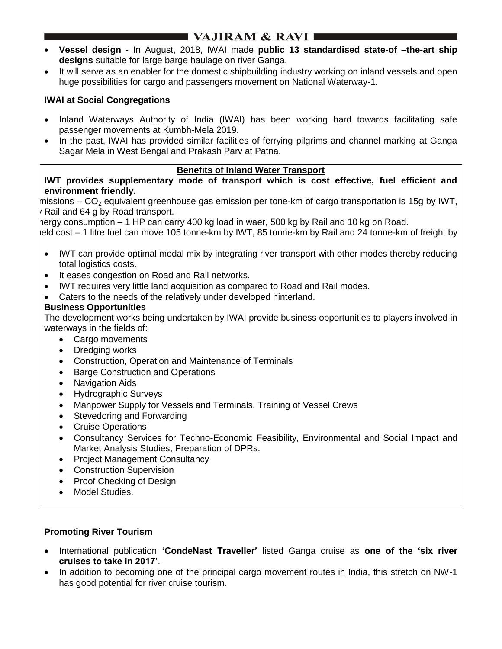# I VAJIRAM & RAVI I

- **Vessel design** In August, 2018, IWAI made **public 13 standardised state-of –the-art ship designs** suitable for large barge haulage on river Ganga.
- It will serve as an enabler for the domestic shipbuilding industry working on inland vessels and open huge possibilities for cargo and passengers movement on National Waterway-1.

## **IWAI at Social Congregations**

- Inland Waterways Authority of India (IWAI) has been working hard towards facilitating safe passenger movements at Kumbh-Mela 2019.
- In the past, IWAI has provided similar facilities of ferrying pilgrims and channel marking at Ganga Sagar Mela in West Bengal and Prakash Parv at Patna.

#### **Benefits of Inland Water Transport**

**IWT provides supplementary mode of transport which is cost effective, fuel efficient and environment friendly.**

missions – CO<sub>2</sub> equivalent greenhouse gas emission per tone-km of cargo transportation is 15g by IWT, Rail and 64 g by Road transport.

hergy consumption – 1 HP can carry 400 kg load in waer, 500 kg by Rail and 10 kg on Road.

leld cost – 1 litre fuel can move 105 tonne-km by IWT, 85 tonne-km by Rail and 24 tonne-km of freight by

- IWT can provide optimal modal mix by integrating river transport with other modes thereby reducing total logistics costs.
- It eases congestion on Road and Rail networks.
- IWT requires very little land acquisition as compared to Road and Rail modes.
- Caters to the needs of the relatively under developed hinterland.

## **Business Opportunities**

The development works being undertaken by IWAI provide business opportunities to players involved in waterways in the fields of:

- Cargo movements
- Dredging works
- Construction, Operation and Maintenance of Terminals
- Barge Construction and Operations
- Navigation Aids
- Hydrographic Surveys
- Manpower Supply for Vessels and Terminals. Training of Vessel Crews
- Stevedoring and Forwarding
- Cruise Operations
- Consultancy Services for Techno-Economic Feasibility, Environmental and Social Impact and Market Analysis Studies, Preparation of DPRs.
- Project Management Consultancy
- Construction Supervision
- Proof Checking of Design
- Model Studies.

### **Promoting River Tourism**

- International publication **"CondeNast Traveller"** listed Ganga cruise as **one of the "six river cruises to take in 2017"**.
- In addition to becoming one of the principal cargo movement routes in India, this stretch on NW-1 has good potential for river cruise tourism.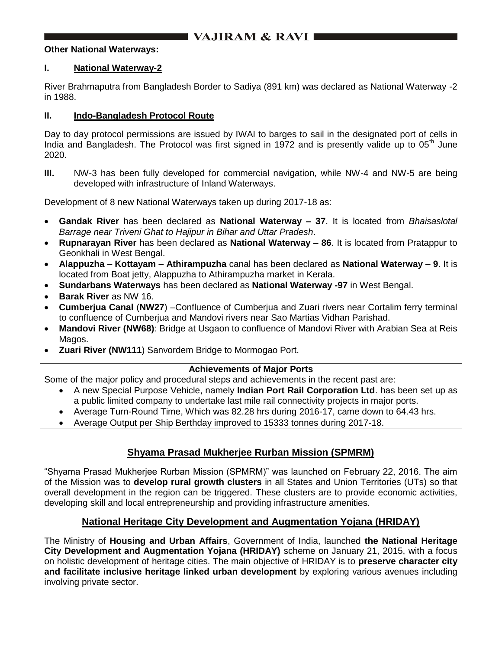#### **Other National Waterways:**

#### **I. National Waterway-2**

River Brahmaputra from Bangladesh Border to Sadiya (891 km) was declared as National Waterway -2 in 1988.

#### **II. Indo-Bangladesh Protocol Route**

Day to day protocol permissions are issued by IWAI to barges to sail in the designated port of cells in India and Bangladesh. The Protocol was first signed in 1972 and is presently valide up to  $05<sup>th</sup>$  June 2020.

**III.** NW-3 has been fully developed for commercial navigation, while NW-4 and NW-5 are being developed with infrastructure of Inland Waterways.

Development of 8 new National Waterways taken up during 2017-18 as:

- **Gandak River** has been declared as **National Waterway – 37**. It is located from *Bhaisaslotal Barrage near Triveni Ghat to Hajipur in Bihar and Uttar Pradesh*.
- **Rupnarayan River** has been declared as **National Waterway – 86**. It is located from Pratappur to Geonkhali in West Bengal.
- **Alappuzha – Kottayam – Athirampuzha** canal has been declared as **National Waterway – 9**. It is located from Boat jetty, Alappuzha to Athirampuzha market in Kerala.
- **Sundarbans Waterways** has been declared as **National Waterway -97** in West Bengal.
- **Barak River** as NW 16.
- **Cumberjua Canal** (**NW27**) –Confluence of Cumberjua and Zuari rivers near Cortalim ferry terminal to confluence of Cumberjua and Mandovi rivers near Sao Martias Vidhan Parishad.
- **Mandovi River (NW68)**: Bridge at Usgaon to confluence of Mandovi River with Arabian Sea at Reis Magos.
- **Zuari River (NW111**) Sanvordem Bridge to Mormogao Port.

### **Achievements of Major Ports**

Some of the major policy and procedural steps and achievements in the recent past are:

- A new Special Purpose Vehicle, namely **Indian Port Rail Corporation Ltd**. has been set up as a public limited company to undertake last mile rail connectivity projects in major ports.
- Average Turn-Round Time, Which was 82.28 hrs during 2016-17, came down to 64.43 hrs.
- Average Output per Ship Berthday improved to 15333 tonnes during 2017-18.

## **Shyama Prasad Mukherjee Rurban Mission (SPMRM)**

"Shyama Prasad Mukherjee Rurban Mission (SPMRM)" was launched on February 22, 2016. The aim of the Mission was to **develop rural growth clusters** in all States and Union Territories (UTs) so that overall development in the region can be triggered. These clusters are to provide economic activities, developing skill and local entrepreneurship and providing infrastructure amenities.

## **National Heritage City Development and Augmentation Yojana (HRIDAY)**

The Ministry of **Housing and Urban Affairs**, Government of India, launched **the National Heritage City Development and Augmentation Yojana (HRIDAY)** scheme on January 21, 2015, with a focus on holistic development of heritage cities. The main objective of HRIDAY is to **preserve character city and facilitate inclusive heritage linked urban development** by exploring various avenues including involving private sector.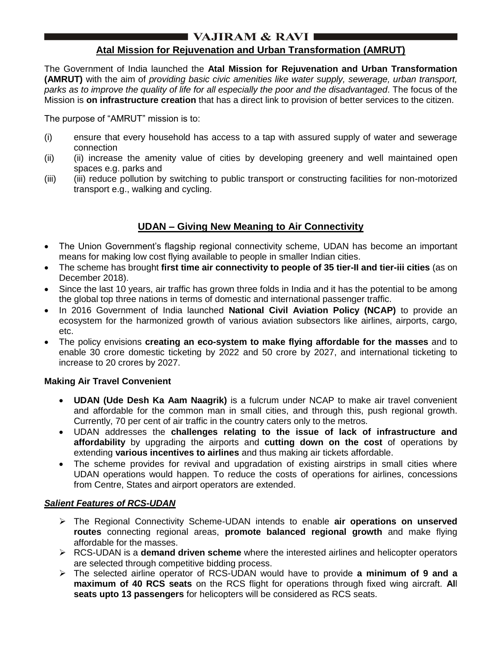# I VAJIRAM & RAVI I

## **Atal Mission for Rejuvenation and Urban Transformation (AMRUT)**

The Government of India launched the **Atal Mission for Rejuvenation and Urban Transformation (AMRUT)** with the aim of *providing basic civic amenities like water supply, sewerage, urban transport, parks as to improve the quality of life for all especially the poor and the disadvantaged*. The focus of the Mission is **on infrastructure creation** that has a direct link to provision of better services to the citizen.

The purpose of "AMRUT" mission is to:

- (i) ensure that every household has access to a tap with assured supply of water and sewerage connection
- (ii) (ii) increase the amenity value of cities by developing greenery and well maintained open spaces e.g. parks and
- (iii) (iii) reduce pollution by switching to public transport or constructing facilities for non-motorized transport e.g., walking and cycling.

# **UDAN – Giving New Meaning to Air Connectivity**

- The Union Government's flagship regional connectivity scheme, UDAN has become an important means for making low cost flying available to people in smaller Indian cities.
- The scheme has brought **first time air connectivity to people of 35 tier-II and tier-iii cities** (as on December 2018).
- Since the last 10 years, air traffic has grown three folds in India and it has the potential to be among the global top three nations in terms of domestic and international passenger traffic.
- In 2016 Government of India launched **National Civil Aviation Policy (NCAP)** to provide an ecosystem for the harmonized growth of various aviation subsectors like airlines, airports, cargo, etc.
- The policy envisions **creating an eco-system to make flying affordable for the masses** and to enable 30 crore domestic ticketing by 2022 and 50 crore by 2027, and international ticketing to increase to 20 crores by 2027.

### **Making Air Travel Convenient**

- **UDAN (Ude Desh Ka Aam Naagrik)** is a fulcrum under NCAP to make air travel convenient and affordable for the common man in small cities, and through this, push regional growth. Currently, 70 per cent of air traffic in the country caters only to the metros.
- UDAN addresses the **challenges relating to the issue of lack of infrastructure and affordability** by upgrading the airports and **cutting down on the cost** of operations by extending **various incentives to airlines** and thus making air tickets affordable.
- The scheme provides for revival and upgradation of existing airstrips in small cities where UDAN operations would happen. To reduce the costs of operations for airlines, concessions from Centre, States and airport operators are extended.

### *Salient Features of RCS-UDAN*

- The Regional Connectivity Scheme-UDAN intends to enable **air operations on unserved routes** connecting regional areas, **promote balanced regional growth** and make flying affordable for the masses.
- RCS-UDAN is a **demand driven scheme** where the interested airlines and helicopter operators are selected through competitive bidding process.
- The selected airline operator of RCS-UDAN would have to provide **a minimum of 9 and a maximum of 40 RCS seats** on the RCS flight for operations through fixed wing aircraft. **Al**l **seats upto 13 passengers** for helicopters will be considered as RCS seats.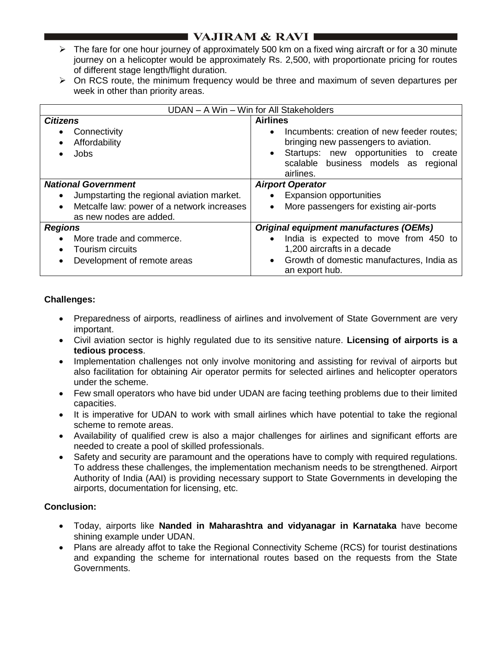# **VAJIRAM & RAVI**

- $\triangleright$  The fare for one hour journey of approximately 500 km on a fixed wing aircraft or for a 30 minute journey on a helicopter would be approximately Rs. 2,500, with proportionate pricing for routes of different stage length/flight duration.
- $\triangleright$  On RCS route, the minimum frequency would be three and maximum of seven departures per week in other than priority areas.

| UDAN - A Win - Win for All Stakeholders                               |                                                                                                 |
|-----------------------------------------------------------------------|-------------------------------------------------------------------------------------------------|
| <b>Citizens</b>                                                       | <b>Airlines</b>                                                                                 |
| Connectivity<br>$\bullet$<br>Affordability                            | Incumbents: creation of new feeder routes;<br>$\bullet$<br>bringing new passengers to aviation. |
| Jobs                                                                  | Startups: new opportunities to create<br>scalable business models as regional<br>airlines.      |
| <b>National Government</b>                                            | <b>Airport Operator</b>                                                                         |
| Jumpstarting the regional aviation market.<br>$\bullet$               | <b>Expansion opportunities</b>                                                                  |
| Metcalfe law: power of a network increases<br>as new nodes are added. | More passengers for existing air-ports                                                          |
| <b>Regions</b>                                                        | <b>Original equipment manufactures (OEMs)</b>                                                   |
| More trade and commerce.                                              | India is expected to move from 450 to                                                           |
| Tourism circuits                                                      | 1,200 aircrafts in a decade                                                                     |
| Development of remote areas                                           | Growth of domestic manufactures, India as<br>$\bullet$<br>an export hub.                        |

### **Challenges:**

- Preparedness of airports, readliness of airlines and involvement of State Government are very important.
- Civil aviation sector is highly regulated due to its sensitive nature. **Licensing of airports is a tedious process**.
- Implementation challenges not only involve monitoring and assisting for revival of airports but also facilitation for obtaining Air operator permits for selected airlines and helicopter operators under the scheme.
- Few small operators who have bid under UDAN are facing teething problems due to their limited capacities.
- It is imperative for UDAN to work with small airlines which have potential to take the regional scheme to remote areas.
- Availability of qualified crew is also a major challenges for airlines and significant efforts are needed to create a pool of skilled professionals.
- Safety and security are paramount and the operations have to comply with required regulations. To address these challenges, the implementation mechanism needs to be strengthened. Airport Authority of India (AAI) is providing necessary support to State Governments in developing the airports, documentation for licensing, etc.

### **Conclusion:**

- Today, airports like **Nanded in Maharashtra and vidyanagar in Karnataka** have become shining example under UDAN.
- Plans are already affot to take the Regional Connectivity Scheme (RCS) for tourist destinations and expanding the scheme for international routes based on the requests from the State Governments.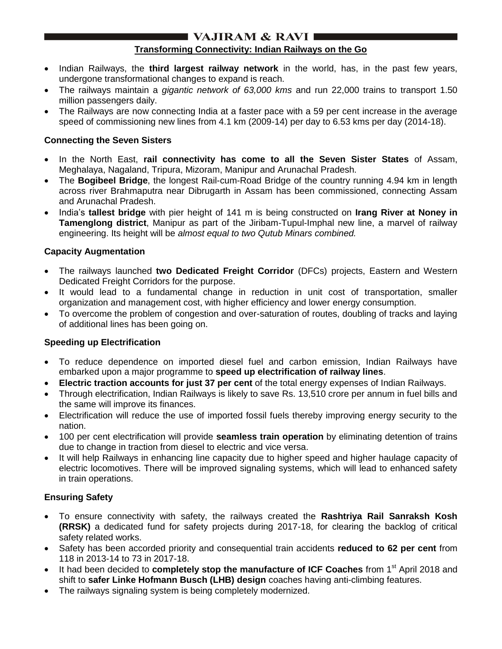## I VAJIRAM & RAVI I

### **Transforming Connectivity: Indian Railways on the Go**

- Indian Railways, the **third largest railway network** in the world, has, in the past few years, undergone transformational changes to expand is reach.
- The railways maintain a *gigantic network of 63,000 kms* and run 22,000 trains to transport 1.50 million passengers daily.
- The Railways are now connecting India at a faster pace with a 59 per cent increase in the average speed of commissioning new lines from 4.1 km (2009-14) per day to 6.53 kms per day (2014-18).

### **Connecting the Seven Sisters**

- In the North East, **rail connectivity has come to all the Seven Sister States** of Assam, Meghalaya, Nagaland, Tripura, Mizoram, Manipur and Arunachal Pradesh.
- The **Bogibeel Bridge**, the longest Rail-cum-Road Bridge of the country running 4.94 km in length across river Brahmaputra near Dibrugarth in Assam has been commissioned, connecting Assam and Arunachal Pradesh.
- India's **tallest bridge** with pier height of 141 m is being constructed on **Irang River at Noney in Tamenglong district**, Manipur as part of the Jiribam-Tupul-Imphal new line, a marvel of railway engineering. Its height will be *almost equal to two Qutub Minars combined.*

## **Capacity Augmentation**

- The railways launched **two Dedicated Freight Corridor** (DFCs) projects, Eastern and Western Dedicated Freight Corridors for the purpose.
- It would lead to a fundamental change in reduction in unit cost of transportation, smaller organization and management cost, with higher efficiency and lower energy consumption.
- To overcome the problem of congestion and over-saturation of routes, doubling of tracks and laying of additional lines has been going on.

## **Speeding up Electrification**

- To reduce dependence on imported diesel fuel and carbon emission, Indian Railways have embarked upon a major programme to **speed up electrification of railway lines**.
- **Electric traction accounts for just 37 per cent** of the total energy expenses of Indian Railways.
- Through electrification, Indian Railways is likely to save Rs, 13,510 crore per annum in fuel bills and the same will improve its finances.
- Electrification will reduce the use of imported fossil fuels thereby improving energy security to the nation.
- 100 per cent electrification will provide **seamless train operation** by eliminating detention of trains due to change in traction from diesel to electric and vice versa.
- It will help Railways in enhancing line capacity due to higher speed and higher haulage capacity of electric locomotives. There will be improved signaling systems, which will lead to enhanced safety in train operations.

## **Ensuring Safety**

- To ensure connectivity with safety, the railways created the **Rashtriya Rail Sanraksh Kosh (RRSK)** a dedicated fund for safety projects during 2017-18, for clearing the backlog of critical safety related works.
- Safety has been accorded priority and consequential train accidents **reduced to 62 per cent** from 118 in 2013-14 to 73 in 2017-18.
- It had been decided to **completely stop the manufacture of ICF Coaches** from 1<sup>st</sup> April 2018 and shift to **safer Linke Hofmann Busch (LHB) design** coaches having anti-climbing features.
- The railways signaling system is being completely modernized.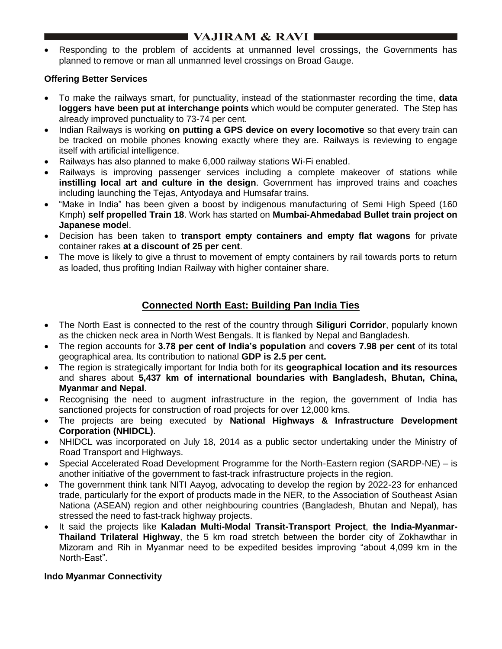# $\blacksquare$  VAJIRAM & RAVI $\blacksquare$

 Responding to the problem of accidents at unmanned level crossings, the Governments has planned to remove or man all unmanned level crossings on Broad Gauge.

## **Offering Better Services**

- To make the railways smart, for punctuality, instead of the stationmaster recording the time, **data loggers have been put at interchange points** which would be computer generated. The Step has already improved punctuality to 73-74 per cent.
- Indian Railways is working **on putting a GPS device on every locomotive** so that every train can be tracked on mobile phones knowing exactly where they are. Railways is reviewing to engage itself with artificial intelligence.
- Railways has also planned to make 6,000 railway stations Wi-Fi enabled.
- Railways is improving passenger services including a complete makeover of stations while **instilling local art and culture in the design**. Government has improved trains and coaches including launching the Tejas, Antyodaya and Humsafar trains.
- "Make in India" has been given a boost by indigenous manufacturing of Semi High Speed (160 Kmph) **self propelled Train 18**. Work has started on **Mumbai-Ahmedabad Bullet train project on Japanese mode**l.
- Decision has been taken to **transport empty containers and empty flat wagons** for private container rakes **at a discount of 25 per cent**.
- The move is likely to give a thrust to movement of empty containers by rail towards ports to return as loaded, thus profiting Indian Railway with higher container share.

## **Connected North East: Building Pan India Ties**

- The North East is connected to the rest of the country through **Siliguri Corridor**, popularly known as the chicken neck area in North West Bengals. It is flanked by Nepal and Bangladesh.
- The region accounts for **3.78 per cent of India"s population** and **covers 7.98 per cent** of its total geographical area. Its contribution to national **GDP is 2.5 per cent.**
- The region is strategically important for India both for its **geographical location and its resources** and shares about **5,437 km of international boundaries with Bangladesh, Bhutan, China, Myanmar and Nepal**.
- Recognising the need to augment infrastructure in the region, the government of India has sanctioned projects for construction of road projects for over 12,000 kms.
- The projects are being executed by **National Highways & Infrastructure Development Corporation (NHIDCL)**.
- NHIDCL was incorporated on July 18, 2014 as a public sector undertaking under the Ministry of Road Transport and Highways.
- Special Accelerated Road Development Programme for the North-Eastern region (SARDP-NE) is another initiative of the government to fast-track infrastructure projects in the region.
- The government think tank NITI Aayog, advocating to develop the region by 2022-23 for enhanced trade, particularly for the export of products made in the NER, to the Association of Southeast Asian Nationa (ASEAN) region and other neighbouring countries (Bangladesh, Bhutan and Nepal), has stressed the need to fast-track highway projects.
- It said the projects like **Kaladan Multi-Modal Transit-Transport Project**, **the India-Myanmar-Thailand Trilateral Highway**, the 5 km road stretch between the border city of Zokhawthar in Mizoram and Rih in Myanmar need to be expedited besides improving "about 4,099 km in the North-East".

## **Indo Myanmar Connectivity**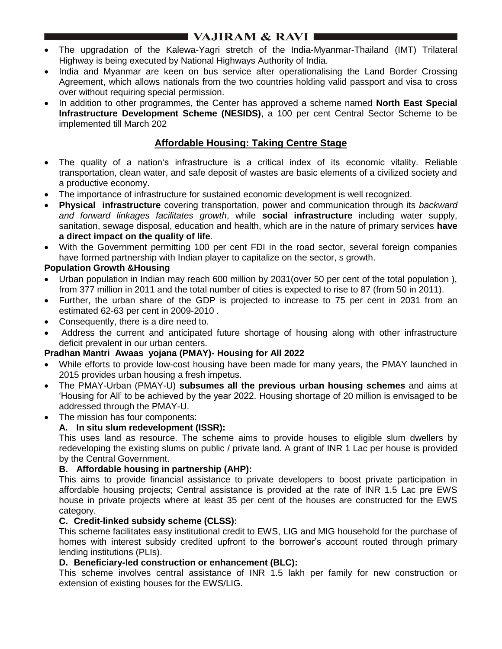# **I** VAJIRAM & RAVI **III**

- The upgradation of the Kalewa-Yagri stretch of the India-Myanmar-Thailand (IMT) Trilateral Highway is being executed by National Highways Authority of India.
- India and Myanmar are keen on bus service after operationalising the Land Border Crossing Agreement, which allows nationals from the two countries holding valid passport and visa to cross over without requiring special permission.
- In addition to other programmes, the Center has approved a scheme named **North East Special Infrastructure Development Scheme (NESIDS)**, a 100 per cent Central Sector Scheme to be implemented till March 202

## **Affordable Housing: Taking Centre Stage**

- The quality of a nation's infrastructure is a critical index of its economic vitality. Reliable transportation, clean water, and safe deposit of wastes are basic elements of a civilized society and a productive economy.
- The importance of infrastructure for sustained economic development is well recognized.
- **Physical infrastructure** covering transportation, power and communication through its *backward and forward linkages facilitates growth*, while **social infrastructure** including water supply, sanitation, sewage disposal, education and health, which are in the nature of primary services **have a direct impact on the quality of life**.
- With the Government permitting 100 per cent FDI in the road sector, several foreign companies have formed partnership with Indian player to capitalize on the sector, s growth.

## **Population Growth &Housing**

- Urban population in Indian may reach 600 million by 2031(over 50 per cent of the total population ), from 377 million in 2011 and the total number of cities is expected to rise to 87 (from 50 in 2011).
- Further, the urban share of the GDP is projected to increase to 75 per cent in 2031 from an estimated 62-63 per cent in 2009-2010 .
- Consequently, there is a dire need to.
- Address the current and anticipated future shortage of housing along with other infrastructure deficit prevalent in our urban centers.

## **Pradhan Mantri Awaas yojana (PMAY)- Housing for All 2022**

- While efforts to provide low-cost housing have been made for many years, the PMAY launched in 2015 provides urban housing a fresh impetus.
- The PMAY-Urban (PMAY-U) **subsumes all the previous urban housing schemes** and aims at "Housing for All" to be achieved by the year 2022. Housing shortage of 20 million is envisaged to be addressed through the PMAY-U.
- The mission has four components:

## **A. In situ slum redevelopment (ISSR):**

This uses land as resource. The scheme aims to provide houses to eligible slum dwellers by redeveloping the existing slums on public / private land. A grant of INR 1 Lac per house is provided by the Central Government.

### **B. Affordable housing in partnership (AHP):**

This aims to provide financial assistance to private developers to boost private participation in affordable housing projects; Central assistance is provided at the rate of INR 1.5 Lac pre EWS house in private projects where at least 35 per cent of the houses are constructed for the EWS category.

### **C. Credit-linked subsidy scheme (CLSS):**

This scheme facilitates easy institutional credit to EWS, LIG and MIG household for the purchase of homes with interest subsidy credited upfront to the borrower's account routed through primary lending institutions (PLIs).

### **D. Beneficiary-led construction or enhancement (BLC):**

This scheme involves central assistance of INR 1.5 lakh per family for new construction or extension of existing houses for the EWS/LIG.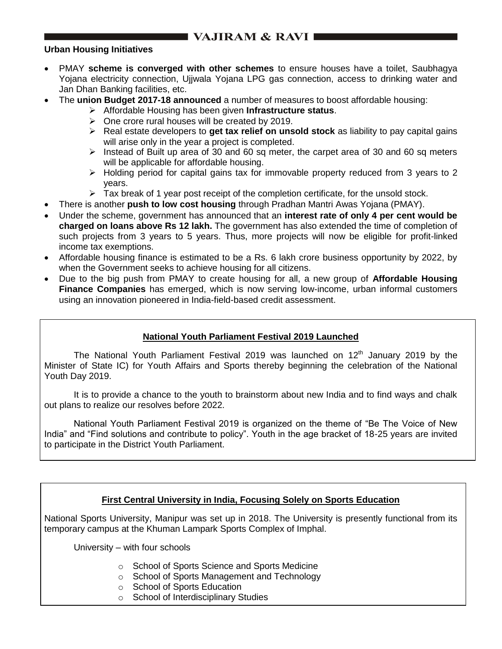# **NAJIRAM & RAVI IN**

#### **Urban Housing Initiatives**

- PMAY **scheme is converged with other schemes** to ensure houses have a toilet, Saubhagya Yojana electricity connection, Ujjwala Yojana LPG gas connection, access to drinking water and Jan Dhan Banking facilities, etc.
- The **union Budget 2017-18 announced** a number of measures to boost affordable housing:
	- Affordable Housing has been given **Infrastructure status**.
	- $\triangleright$  One crore rural houses will be created by 2019.
	- Real estate developers to **get tax relief on unsold stock** as liability to pay capital gains will arise only in the year a project is completed.
	- $\triangleright$  Instead of Built up area of 30 and 60 sq meter, the carpet area of 30 and 60 sq meters will be applicable for affordable housing.
	- $\triangleright$  Holding period for capital gains tax for immovable property reduced from 3 years to 2 years.
	- $\triangleright$  Tax break of 1 year post receipt of the completion certificate, for the unsold stock.
- There is another **push to low cost housing** through Pradhan Mantri Awas Yojana (PMAY).
- Under the scheme, government has announced that an **interest rate of only 4 per cent would be charged on loans above Rs 12 lakh.** The government has also extended the time of completion of such projects from 3 years to 5 years. Thus, more projects will now be eligible for profit-linked income tax exemptions.
- Affordable housing finance is estimated to be a Rs. 6 lakh crore business opportunity by 2022, by when the Government seeks to achieve housing for all citizens.
- Due to the big push from PMAY to create housing for all, a new group of **Affordable Housing Finance Companies** has emerged, which is now serving low-income, urban informal customers using an innovation pioneered in India-field-based credit assessment.

### **National Youth Parliament Festival 2019 Launched**

The National Youth Parliament Festival 2019 was launched on  $12<sup>th</sup>$  January 2019 by the Minister of State IC) for Youth Affairs and Sports thereby beginning the celebration of the National Youth Day 2019.

It is to provide a chance to the youth to brainstorm about new India and to find ways and chalk out plans to realize our resolves before 2022.

National Youth Parliament Festival 2019 is organized on the theme of "Be The Voice of New India" and "Find solutions and contribute to policy". Youth in the age bracket of 18-25 years are invited to participate in the District Youth Parliament.

## **First Central University in India, Focusing Solely on Sports Education**

National Sports University, Manipur was set up in 2018. The University is presently functional from its temporary campus at the Khuman Lampark Sports Complex of Imphal.

University – with four schools

- o School of Sports Science and Sports Medicine
- o School of Sports Management and Technology
- o School of Sports Education
- o School of Interdisciplinary Studies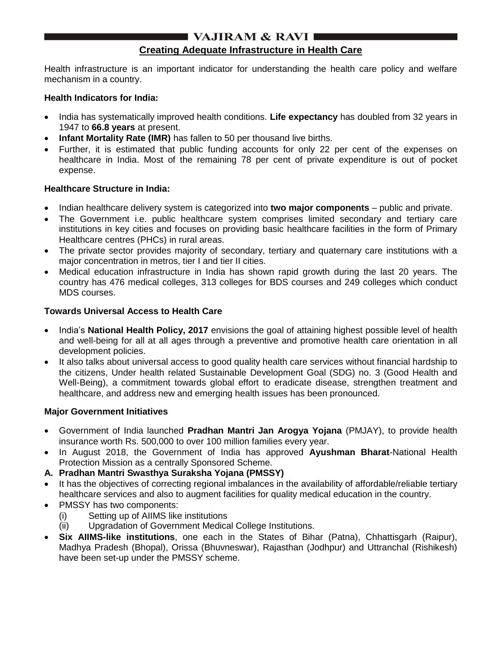# I VAJIRAM & RAVI

## **Creating Adequate Infrastructure in Health Care**

Health infrastructure is an important indicator for understanding the health care policy and welfare mechanism in a country.

#### **Health Indicators for India:**

- India has systematically improved health conditions. **Life expectancy** has doubled from 32 years in 1947 to **66.8 years** at present.
- **Infant Mortality Rate (IMR)** has fallen to 50 per thousand live births.
- Further, it is estimated that public funding accounts for only 22 per cent of the expenses on healthcare in India. Most of the remaining 78 per cent of private expenditure is out of pocket expense.

### **Healthcare Structure in India:**

- Indian healthcare delivery system is categorized into **two major components** public and private.
- The Government i.e. public healthcare system comprises limited secondary and tertiary care institutions in key cities and focuses on providing basic healthcare facilities in the form of Primary Healthcare centres (PHCs) in rural areas.
- The private sector provides majority of secondary, tertiary and quaternary care institutions with a major concentration in metros, tier I and tier II cities.
- Medical education infrastructure in India has shown rapid growth during the last 20 years. The country has 476 medical colleges, 313 colleges for BDS courses and 249 colleges which conduct MDS courses.

### **Towards Universal Access to Health Care**

- India's **National Health Policy, 2017** envisions the goal of attaining highest possible level of health and well-being for all at all ages through a preventive and promotive health care orientation in all development policies.
- It also talks about universal access to good quality health care services without financial hardship to the citizens, Under health related Sustainable Development Goal (SDG) no. 3 (Good Health and Well-Being), a commitment towards global effort to eradicate disease, strengthen treatment and healthcare, and address new and emerging health issues has been pronounced.

### **Major Government Initiatives**

- Government of India launched **Pradhan Mantri Jan Arogya Yojana** (PMJAY), to provide health insurance worth Rs. 500,000 to over 100 million families every year.
- In August 2018, the Government of India has approved **Ayushman Bharat**-National Health Protection Mission as a centrally Sponsored Scheme.
- **A. Pradhan Mantri Swasthya Suraksha Yojana (PMSSY)**
- It has the objectives of correcting regional imbalances in the availability of affordable/reliable tertiary healthcare services and also to augment facilities for quality medical education in the country.
- PMSSY has two components:
	- (i) Setting up of AIIMS like institutions
	- (ii) Upgradation of Government Medical College Institutions.
- **Six AIIMS-like institutions**, one each in the States of Bihar (Patna), Chhattisgarh (Raipur), Madhya Pradesh (Bhopal), Orissa (Bhuvneswar), Rajasthan (Jodhpur) and Uttranchal (Rishikesh) have been set-up under the PMSSY scheme.